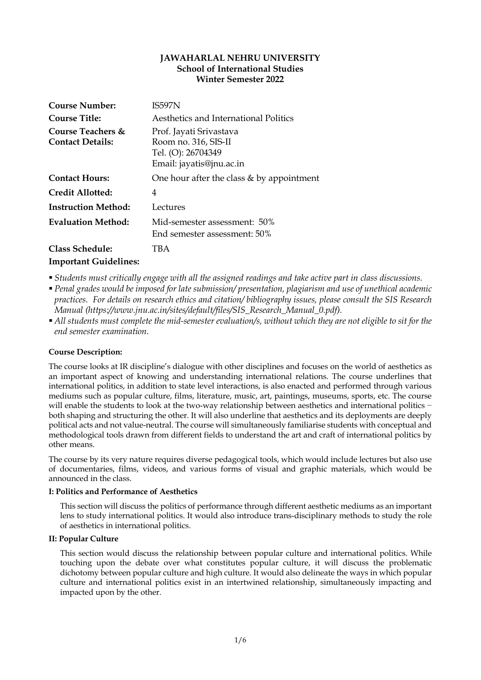# **JAWAHARLAL NEHRU UNIVERSITY School of International Studies Winter Semester 2022**

| <b>Course Number:</b>                        | <b>IS597N</b>                                                                                     |
|----------------------------------------------|---------------------------------------------------------------------------------------------------|
| <b>Course Title:</b>                         | Aesthetics and International Politics                                                             |
| Course Teachers &<br><b>Contact Details:</b> | Prof. Jayati Srivastava<br>Room no. 316, SIS-II<br>Tel. (O): 26704349<br>Email: jayatis@jnu.ac.in |
| <b>Contact Hours:</b>                        | One hour after the class $&$ by appointment                                                       |
| Credit Allotted:                             | 4                                                                                                 |
| <b>Instruction Method:</b>                   | Lectures                                                                                          |
| <b>Evaluation Method:</b>                    | Mid-semester assessment: 50%<br>End semester assessment: 50%                                      |
| <b>Class Schedule:</b>                       | TBA                                                                                               |

# **Important Guidelines:**

- § *Students must critically engage with all the assigned readings and take active part in class discussions.*
- § *Penal grades would be imposed for late submission/ presentation, plagiarism and use of unethical academic practices. For details on research ethics and citation/ bibliography issues, please consult the SIS Research Manual (https://www.jnu.ac.in/sites/default/files/SIS\_Research\_Manual\_0.pdf).*
- § *All students must complete the mid-semester evaluation/s, without which they are not eligible to sit for the end semester examination.*

# **Course Description:**

The course looks at IR discipline's dialogue with other disciplines and focuses on the world of aesthetics as an important aspect of knowing and understanding international relations. The course underlines that international politics, in addition to state level interactions, is also enacted and performed through various mediums such as popular culture, films, literature, music, art, paintings, museums, sports, etc. The course will enable the students to look at the two-way relationship between aesthetics and international politics − both shaping and structuring the other. It will also underline that aesthetics and its deployments are deeply political acts and not value-neutral. The course will simultaneously familiarise students with conceptual and methodological tools drawn from different fields to understand the art and craft of international politics by other means.

The course by its very nature requires diverse pedagogical tools, which would include lectures but also use of documentaries, films, videos, and various forms of visual and graphic materials, which would be announced in the class.

## **I: Politics and Performance of Aesthetics**

This section will discuss the politics of performance through different aesthetic mediums as an important lens to study international politics. It would also introduce trans-disciplinary methods to study the role of aesthetics in international politics.

## **II: Popular Culture**

This section would discuss the relationship between popular culture and international politics. While touching upon the debate over what constitutes popular culture, it will discuss the problematic dichotomy between popular culture and high culture. It would also delineate the ways in which popular culture and international politics exist in an intertwined relationship, simultaneously impacting and impacted upon by the other.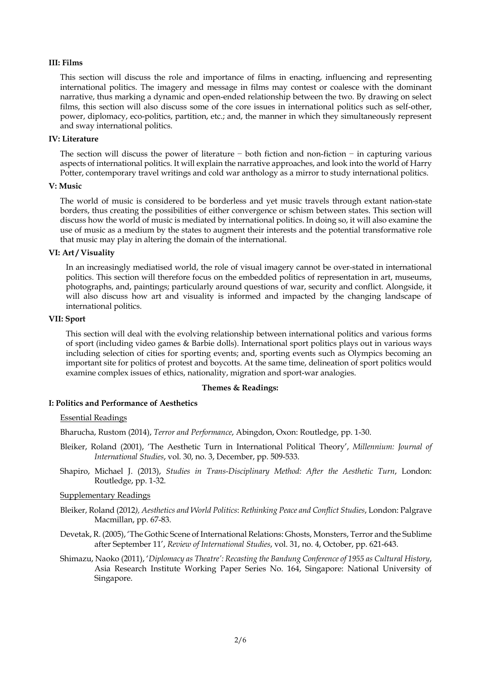## **III: Films**

This section will discuss the role and importance of films in enacting, influencing and representing international politics. The imagery and message in films may contest or coalesce with the dominant narrative, thus marking a dynamic and open-ended relationship between the two. By drawing on select films, this section will also discuss some of the core issues in international politics such as self-other, power, diplomacy, eco-politics, partition, etc.; and, the manner in which they simultaneously represent and sway international politics.

### **IV: Literature**

The section will discuss the power of literature − both fiction and non-fiction − in capturing various aspects of international politics. It will explain the narrative approaches, and look into the world of Harry Potter, contemporary travel writings and cold war anthology as a mirror to study international politics.

### **V: Music**

The world of music is considered to be borderless and yet music travels through extant nation-state borders, thus creating the possibilities of either convergence or schism between states. This section will discuss how the world of music is mediated by international politics. In doing so, it will also examine the use of music as a medium by the states to augment their interests and the potential transformative role that music may play in altering the domain of the international.

### **VI: Art / Visuality**

In an increasingly mediatised world, the role of visual imagery cannot be over-stated in international politics. This section will therefore focus on the embedded politics of representation in art, museums, photographs, and, paintings; particularly around questions of war, security and conflict. Alongside, it will also discuss how art and visuality is informed and impacted by the changing landscape of international politics.

#### **VII: Sport**

This section will deal with the evolving relationship between international politics and various forms of sport (including video games & Barbie dolls). International sport politics plays out in various ways including selection of cities for sporting events; and, sporting events such as Olympics becoming an important site for politics of protest and boycotts. At the same time, delineation of sport politics would examine complex issues of ethics, nationality, migration and sport-war analogies.

### **Themes & Readings:**

## **I: Politics and Performance of Aesthetics**

#### Essential Readings

Bharucha, Rustom (2014), *Terror and Performance*, Abingdon, Oxon: Routledge, pp. 1-30.

- Bleiker, Roland (2001), 'The Aesthetic Turn in International Political Theory', *Millennium: Journal of International Studies*, vol. 30, no. 3, December, pp. 509-533.
- Shapiro, Michael J. (2013), *Studies in Trans-Disciplinary Method: After the Aesthetic Turn*, London: Routledge, pp. 1-32.

# Supplementary Readings

- Bleiker, Roland (2012*), Aesthetics and World Politics*: *Rethinking Peace and Conflict Studies*, London: Palgrave Macmillan, pp. 67-83.
- Devetak, R. (2005), 'The Gothic Scene of International Relations: Ghosts, Monsters, Terror and the Sublime after September 11', *Review of International Studies*, vol. 31, no. 4, October, pp. 621-643.
- Shimazu, Naoko (2011), '*Diplomacy as Theatre': Recasting the Bandung Conference of 1955 as Cultural History*, Asia Research Institute Working Paper Series No. 164, Singapore: National University of Singapore.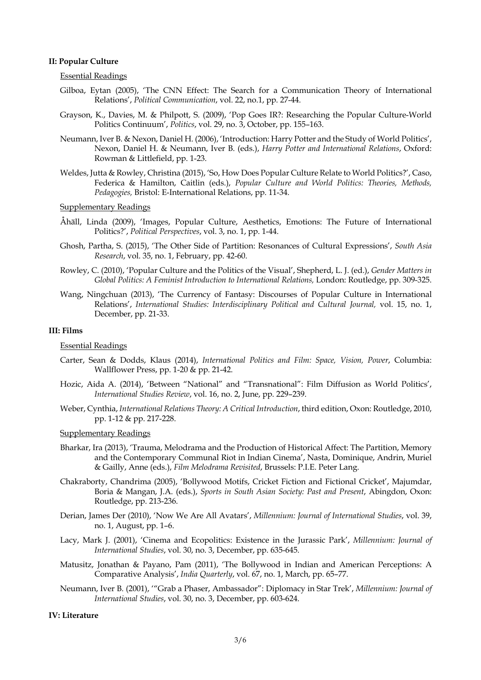## **II: Popular Culture**

## Essential Readings

- Gilboa, Eytan (2005), 'The CNN Effect: The Search for a Communication Theory of International Relations', *Political Communication*, vol. 22, no.1, pp. 27-44.
- Grayson, K., Davies, M. & Philpott, S. (2009), 'Pop Goes IR?: Researching the Popular Culture-World Politics Continuum', *Politics*, vol. 29, no. 3, October, pp. 155–163.
- Neumann, Iver B. & Nexon, Daniel H. (2006), 'Introduction: Harry Potter and the Study of World Politics', Nexon, Daniel H. & Neumann, Iver B. (eds.), *Harry Potter and International Relations*, Oxford: Rowman & Littlefield, pp. 1-23.
- Weldes, Jutta & Rowley, Christina (2015), 'So, How Does Popular Culture Relate to World Politics?', Caso, Federica & Hamilton, Caitlin (eds.), *Popular Culture and World Politics: Theories, Methods, Pedagogies,* Bristol: E-International Relations, pp. 11-34.

### Supplementary Readings

- Åhäll, Linda (2009), 'Images, Popular Culture, Aesthetics, Emotions: The Future of International Politics?', *Political Perspectives*, vol. 3, no. 1, pp. 1-44.
- Ghosh, Partha, S. (2015), 'The Other Side of Partition: Resonances of Cultural Expressions', *South Asia Research*, vol. 35, no. 1, February, pp. 42-60.
- Rowley, C. (2010), 'Popular Culture and the Politics of the Visual', Shepherd, L. J. (ed.), *Gender Matters in Global Politics: A Feminist Introduction to International Relations,* London: Routledge, pp. 309-325.
- Wang, Ningchuan (2013), 'The Currency of Fantasy: Discourses of Popular Culture in International Relations', *International Studies: Interdisciplinary Political and Cultural Journal,* vol. 15, no. 1, December, pp. 21-33.

#### **III: Films**

#### Essential Readings

- Carter, Sean & Dodds, Klaus (2014), *International Politics and Film: Space, Vision, Power*, Columbia: Wallflower Press, pp. 1-20 & pp. 21-42.
- Hozic, Aida A. (2014), 'Between "National" and "Transnational": Film Diffusion as World Politics', *International Studies Review*, vol. 16, no. 2, June, pp. 229–239.
- Weber, Cynthia, *International Relations Theory: A Critical Introduction*, third edition, Oxon: Routledge, 2010, pp. 1-12 & pp. 217-228.

#### Supplementary Readings

- Bharkar, Ira (2013), 'Trauma, Melodrama and the Production of Historical Affect: The Partition, Memory and the Contemporary Communal Riot in Indian Cinema', Nasta, Dominique, Andrin, Muriel & Gailly, Anne (eds.), *Film Melodrama Revisited*, Brussels: P.I.E. Peter Lang.
- Chakraborty, Chandrima (2005), 'Bollywood Motifs, Cricket Fiction and Fictional Cricket', Majumdar, Boria & Mangan, J.A. (eds.), *Sports in South Asian Society: Past and Present*, Abingdon, Oxon: Routledge, pp. 213-236.
- Derian, James Der (2010), 'Now We Are All Avatars', *Millennium: Journal of International Studies*, vol. 39, no. 1, August, pp. 1–6.
- Lacy, Mark J. (2001), 'Cinema and Ecopolitics: Existence in the Jurassic Park', *Millennium: Journal of International Studies*, vol. 30, no. 3, December, pp. 635-645.
- Matusitz, Jonathan & Payano, Pam (2011), 'The Bollywood in Indian and American Perceptions: A Comparative Analysis', *India Quarterly*, vol. 67, no. 1, March, pp. 65–77.
- Neumann, Iver B. (2001), '"Grab a Phaser, Ambassador": Diplomacy in Star Trek', *Millennium: Journal of International Studies*, vol. 30, no. 3, December, pp. 603-624.

### **IV: Literature**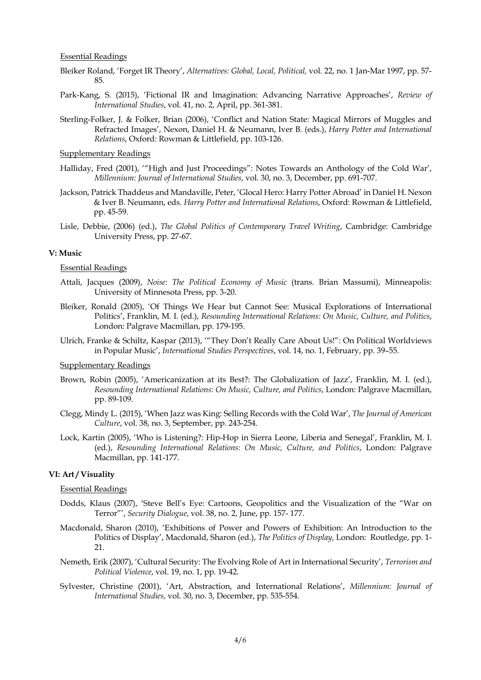#### Essential Readings

- Bleiker Roland, 'Forget IR Theory', *Alternatives: Global, Local, Political,* vol. 22, no. 1 Jan-Mar 1997, pp. 57- 85.
- Park-Kang, S. (2015), 'Fictional IR and Imagination: Advancing Narrative Approaches', *Review of International Studies*, vol. 41, no. 2, April, pp. 361-381.
- Sterling-Folker, J. & Folker, Brian (2006), 'Conflict and Nation State: Magical Mirrors of Muggles and Refracted Images', Nexon, Daniel H. & Neumann, Iver B. (eds.), *Harry Potter and International Relations*, Oxford: Rowman & Littlefield, pp. 103-126.

Supplementary Readings

- Halliday, Fred (2001), '"High and Just Proceedings": Notes Towards an Anthology of the Cold War', *Millennium: Journal of International Studies*, vol. 30, no. 3, December, pp. 691-707.
- Jackson, Patrick Thaddeus and Mandaville, Peter, 'Glocal Hero: Harry Potter Abroad' in Daniel H. Nexon & Iver B. Neumann, eds. *Harry Potter and International Relations*, Oxford: Rowman & Littlefield, pp. 45-59.
- Lisle, Debbie, (2006) (ed.), *The Global Politics of Contemporary Travel Writing*, Cambridge: Cambridge University Press, pp. 27-67.

#### **V: Music**

#### Essential Readings

- Attali, Jacques (2009), *Noise: The Political Economy of Music* (trans. Brian Massumi), Minneapolis: University of Minnesota Press, pp. 3-20.
- Bleiker, Ronald (2005), 'Of Things We Hear but Cannot See: Musical Explorations of International Politics', Franklin, M. I. (ed.), *Resounding International Relations: On Music, Culture, and Politics*, London: Palgrave Macmillan, pp. 179-195.
- Ulrich, Franke & Schiltz, Kaspar (2013), '"They Don't Really Care About Us!": On Political Worldviews in Popular Music', *International Studies Perspectives*, vol. 14, no. 1, February, pp. 39–55.

#### Supplementary Readings

- Brown, Robin (2005), 'Americanization at its Best?: The Globalization of Jazz', Franklin, M. I. (ed.), *Resounding International Relations: On Music, Culture, and Politics*, London: Palgrave Macmillan, pp. 89-109.
- Clegg, Mindy L. (2015), 'When Jazz was King: Selling Records with the Cold War', *The Journal of American Culture*, vol. 38, no. 3, September, pp. 243-254.
- Lock, Kartin (2005), 'Who is Listening?: Hip-Hop in Sierra Leone, Liberia and Senegal', Franklin, M. I. (ed.), *Resounding International Relations: On Music, Culture, and Politics*, London: Palgrave Macmillan, pp. 141-177.

### **VI: Art / Visuality**

#### Essential Readings

- Dodds, Klaus (2007), 'Steve Bell's Eye: Cartoons, Geopolitics and the Visualization of the "War on Terror"', *Security Dialogue*, vol. 38, no. 2, June, pp. 157- 177.
- Macdonald, Sharon (2010), 'Exhibitions of Power and Powers of Exhibition: An Introduction to the Politics of Display', Macdonald, Sharon (ed.), *The Politics of Display*, London: Routledge, pp. 1- 21.
- Nemeth, Erik (2007), 'Cultural Security: The Evolving Role of Art in International Security', *Terrorism and Political Violence*, vol. 19, no. 1, pp. 19-42.
- Sylvester, Christine (2001), 'Art, Abstraction, and International Relations', *Millennium: Journal of International Studies,* vol. 30, no. 3, December, pp. 535-554.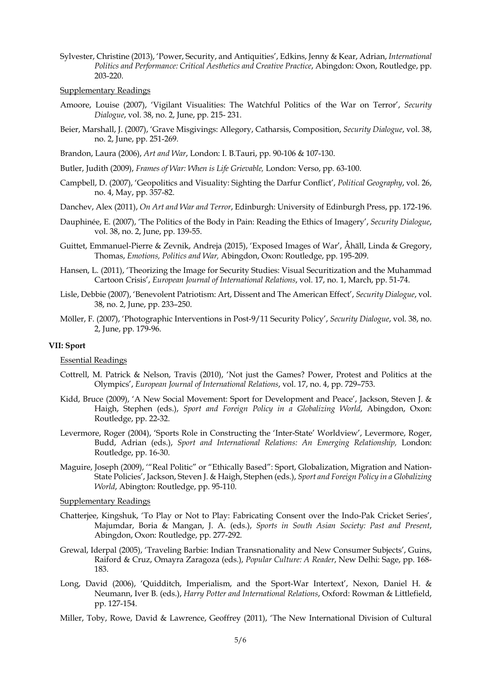- Sylvester, Christine (2013), 'Power, Security, and Antiquities', Edkins, Jenny & Kear, Adrian, *International Politics and Performance: Critical Aesthetics and Creative Practice*, Abingdon: Oxon, Routledge, pp. 203-220.
- Supplementary Readings
- Amoore, Louise (2007), 'Vigilant Visualities: The Watchful Politics of the War on Terror', *Security Dialogue*, vol. 38, no. 2, June, pp. 215- 231.
- Beier, Marshall, J. (2007), 'Grave Misgivings: Allegory, Catharsis, Composition, *Security Dialogue*, vol. 38, no. 2, June, pp. 251-269.
- Brandon, Laura (2006), *Art and War*, London: I. B.Tauri, pp. 90-106 & 107-130.
- Butler, Judith (2009), *Frames of War: When is Life Grievable,* London: Verso, pp. 63-100.
- Campbell, D. (2007), 'Geopolitics and Visuality: Sighting the Darfur Conflict', *Political Geography*, vol. 26, no. 4, May, pp. 357-82.

Danchev, Alex (2011), *On Art and War and Terror*, Edinburgh: University of Edinburgh Press, pp. 172-196.

- Dauphinée, E. (2007), 'The Politics of the Body in Pain: Reading the Ethics of Imagery', *Security Dialogue*, vol. 38, no. 2, June, pp. 139-55.
- Guittet, Emmanuel-Pierre & Zevnik, Andreja (2015), 'Exposed Images of War', Åhäll, Linda & Gregory, Thomas, *Emotions, Politics and War,* Abingdon, Oxon: Routledge, pp. 195-209.
- Hansen, L. (2011), 'Theorizing the Image for Security Studies: Visual Securitization and the Muhammad Cartoon Crisis', *European Journal of International Relations*, vol. 17, no. 1, March, pp. 51-74.
- Lisle, Debbie (2007), 'Benevolent Patriotism: Art, Dissent and The American Effect', *Security Dialogue*, vol. 38, no. 2, June, pp. 233–250.
- Möller, F. (2007), 'Photographic Interventions in Post-9/11 Security Policy', *Security Dialogue*, vol. 38, no. 2, June, pp. 179-96.

#### **VII: Sport**

#### Essential Readings

- Cottrell, M. Patrick & Nelson, Travis (2010), 'Not just the Games? Power, Protest and Politics at the Olympics', *European Journal of International Relations*, vol. 17, no. 4, pp. 729–753.
- Kidd, Bruce (2009), 'A New Social Movement: Sport for Development and Peace', Jackson, Steven J. & Haigh, Stephen (eds.), *Sport and Foreign Policy in a Globalizing World*, Abingdon, Oxon: Routledge, pp. 22-32.
- Levermore, Roger (2004), 'Sports Role in Constructing the 'Inter-State' Worldview', Levermore, Roger, Budd, Adrian (eds.), *Sport and International Relations: An Emerging Relationship,* London: Routledge, pp. 16-30.
- Maguire, Joseph (2009), '"Real Politic" or "Ethically Based": Sport, Globalization, Migration and Nation-State Policies', Jackson, Steven J. & Haigh, Stephen (eds.), *Sport and Foreign Policy in a Globalizing World*, Abington: Routledge, pp. 95-110.

Supplementary Readings

- Chatterjee, Kingshuk, 'To Play or Not to Play: Fabricating Consent over the Indo-Pak Cricket Series', Majumdar, Boria & Mangan, J. A. (eds.), *Sports in South Asian Society: Past and Present*, Abingdon, Oxon: Routledge, pp. 277-292.
- Grewal, Iderpal (2005), 'Traveling Barbie: Indian Transnationality and New Consumer Subjects', Guins, Raiford & Cruz, Omayra Zaragoza (eds.), *Popular Culture: A Reader*, New Delhi: Sage, pp. 168- 183.
- Long, David (2006), 'Quidditch, Imperialism, and the Sport-War Intertext', Nexon, Daniel H. & Neumann, Iver B. (eds.), *Harry Potter and International Relations*, Oxford: Rowman & Littlefield, pp. 127-154.
- Miller, Toby, Rowe, David & Lawrence, Geoffrey (2011), 'The New International Division of Cultural